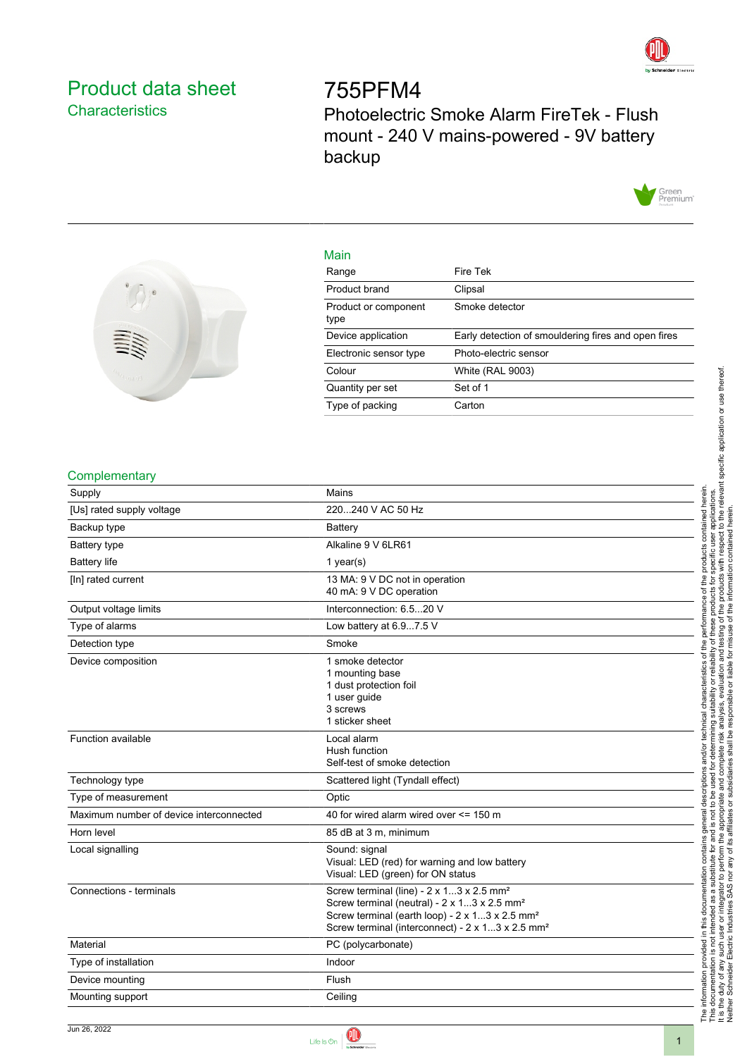

## <span id="page-0-0"></span>Product data sheet **Characteristics**

# 755PFM4 Photoelectric Smoke Alarm FireTek - Flush mount - 240 V mains-powered - 9V battery backup





| Main                         |                                                     |
|------------------------------|-----------------------------------------------------|
| Range                        | Fire Tek                                            |
| Product brand                | Clipsal                                             |
| Product or component<br>type | Smoke detector                                      |
| Device application           | Early detection of smouldering fires and open fires |
| Electronic sensor type       | Photo-electric sensor                               |
| Colour                       | <b>White (RAL 9003)</b>                             |
| Quantity per set             | Set of 1                                            |
| Type of packing              | Carton                                              |

#### **Complementary**

| Supply                                  | Mains                                                                                                                                                                                                                                         |
|-----------------------------------------|-----------------------------------------------------------------------------------------------------------------------------------------------------------------------------------------------------------------------------------------------|
| [Us] rated supply voltage               | 220240 V AC 50 Hz                                                                                                                                                                                                                             |
| Backup type                             | Battery                                                                                                                                                                                                                                       |
| Battery type                            | Alkaline 9 V 6LR61                                                                                                                                                                                                                            |
| <b>Battery life</b>                     | 1 year(s)                                                                                                                                                                                                                                     |
| [In] rated current                      | 13 MA: 9 V DC not in operation<br>40 mA: 9 V DC operation                                                                                                                                                                                     |
| Output voltage limits                   | Interconnection: 6.520 V                                                                                                                                                                                                                      |
| Type of alarms                          | Low battery at 6.97.5 V                                                                                                                                                                                                                       |
| Detection type                          | Smoke                                                                                                                                                                                                                                         |
| Device composition                      | 1 smoke detector<br>1 mounting base<br>1 dust protection foil<br>1 user guide<br>3 screws<br>1 sticker sheet                                                                                                                                  |
| Function available                      | Local alarm<br>Hush function<br>Self-test of smoke detection                                                                                                                                                                                  |
| Technology type                         | Scattered light (Tyndall effect)                                                                                                                                                                                                              |
| Type of measurement                     | Optic                                                                                                                                                                                                                                         |
| Maximum number of device interconnected | 40 for wired alarm wired over <= 150 m                                                                                                                                                                                                        |
| Horn level                              | 85 dB at 3 m, minimum                                                                                                                                                                                                                         |
| Local signalling                        | Sound: signal<br>Visual: LED (red) for warning and low battery<br>Visual: LED (green) for ON status                                                                                                                                           |
| Connections - terminals                 | Screw terminal (line) - 2 x 13 x 2.5 mm <sup>2</sup><br>Screw terminal (neutral) - 2 x 13 x 2.5 mm <sup>2</sup><br>Screw terminal (earth loop) - 2 x 13 x 2.5 mm <sup>2</sup><br>Screw terminal (interconnect) - 2 x 13 x 2.5 mm <sup>2</sup> |
| Material                                | PC (polycarbonate)                                                                                                                                                                                                                            |
| Type of installation                    | Indoor                                                                                                                                                                                                                                        |
| Device mounting                         | Flush                                                                                                                                                                                                                                         |
| Mounting support                        | Ceiling                                                                                                                                                                                                                                       |